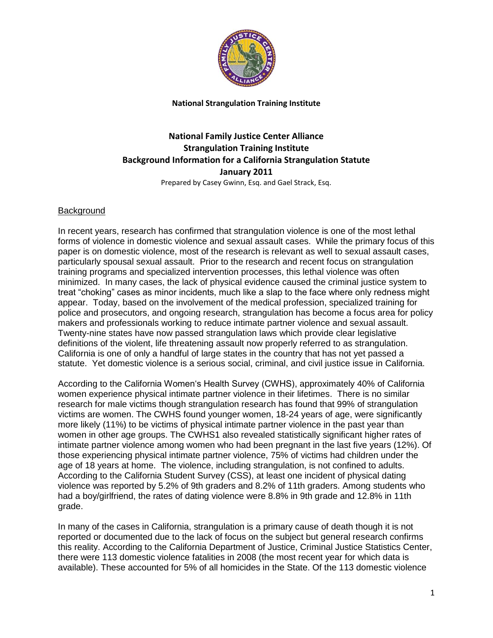

# **National Family Justice Center Alliance Strangulation Training Institute Background Information for a California Strangulation Statute January 2011**

Prepared by Casey Gwinn, Esq. and Gael Strack, Esq.

#### Background

In recent years, research has confirmed that strangulation violence is one of the most lethal forms of violence in domestic violence and sexual assault cases. While the primary focus of this paper is on domestic violence, most of the research is relevant as well to sexual assault cases, particularly spousal sexual assault. Prior to the research and recent focus on strangulation training programs and specialized intervention processes, this lethal violence was often minimized. In many cases, the lack of physical evidence caused the criminal justice system to treat "choking" cases as minor incidents, much like a slap to the face where only redness might appear. Today, based on the involvement of the medical profession, specialized training for police and prosecutors, and ongoing research, strangulation has become a focus area for policy makers and professionals working to reduce intimate partner violence and sexual assault. Twenty-nine states have now passed strangulation laws which provide clear legislative definitions of the violent, life threatening assault now properly referred to as strangulation. California is one of only a handful of large states in the country that has not yet passed a statute. Yet domestic violence is a serious social, criminal, and civil justice issue in California.

According to the California Women's Health Survey (CWHS), approximately 40% of California women experience physical intimate partner violence in their lifetimes. There is no similar research for male victims though strangulation research has found that 99% of strangulation victims are women. The CWHS found younger women, 18-24 years of age, were significantly more likely (11%) to be victims of physical intimate partner violence in the past year than women in other age groups. The CWHS1 also revealed statistically significant higher rates of intimate partner violence among women who had been pregnant in the last five years (12%). Of those experiencing physical intimate partner violence, 75% of victims had children under the age of 18 years at home. The violence, including strangulation, is not confined to adults. According to the California Student Survey (CSS), at least one incident of physical dating violence was reported by 5.2% of 9th graders and 8.2% of 11th graders. Among students who had a boy/girlfriend, the rates of dating violence were 8.8% in 9th grade and 12.8% in 11th grade.

In many of the cases in California, strangulation is a primary cause of death though it is not reported or documented due to the lack of focus on the subject but general research confirms this reality. According to the California Department of Justice, Criminal Justice Statistics Center, there were 113 domestic violence fatalities in 2008 (the most recent year for which data is available). These accounted for 5% of all homicides in the State. Of the 113 domestic violence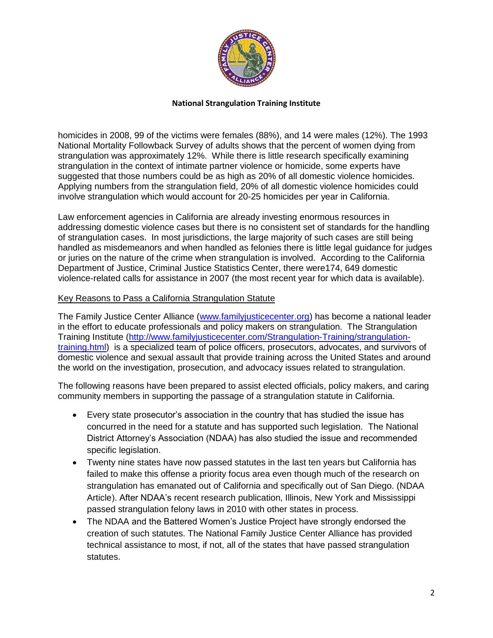

homicides in 2008, 99 of the victims were females (88%), and 14 were males (12%). The 1993 National Mortality Followback Survey of adults shows that the percent of women dying from strangulation was approximately 12%. While there is little research specifically examining strangulation in the context of intimate partner violence or homicide, some experts have suggested that those numbers could be as high as 20% of all domestic violence homicides. Applying numbers from the strangulation field, 20% of all domestic violence homicides could involve strangulation which would account for 20-25 homicides per year in California.

Law enforcement agencies in California are already investing enormous resources in addressing domestic violence cases but there is no consistent set of standards for the handling of strangulation cases. In most jurisdictions, the large majority of such cases are still being handled as misdemeanors and when handled as felonies there is little legal guidance for judges or juries on the nature of the crime when strangulation is involved. According to the California Department of Justice, Criminal Justice Statistics Center, there were174, 649 domestic violence-related calls for assistance in 2007 (the most recent year for which data is available).

#### Key Reasons to Pass a California Strangulation Statute

The Family Justice Center Alliance [\(www.familyjusticecenter.org\)](http://www.familyjusticecenter.org/) has become a national leader in the effort to educate professionals and policy makers on strangulation. The Strangulation Training Institute [\(http://www.familyjusticecenter.com/Strangulation-Training/strangulation](http://www.familyjusticecenter.com/Strangulation-Training/strangulation-training.html)[training.html\)](http://www.familyjusticecenter.com/Strangulation-Training/strangulation-training.html) is a specialized team of police officers, prosecutors, advocates, and survivors of domestic violence and sexual assault that provide training across the United States and around the world on the investigation, prosecution, and advocacy issues related to strangulation.

The following reasons have been prepared to assist elected officials, policy makers, and caring community members in supporting the passage of a strangulation statute in California.

- Every state prosecutor's association in the country that has studied the issue has concurred in the need for a statute and has supported such legislation. The National District Attorney's Association (NDAA) has also studied the issue and recommended specific legislation.
- Twenty nine states have now passed statutes in the last ten years but California has failed to make this offense a priority focus area even though much of the research on strangulation has emanated out of California and specifically out of San Diego. (NDAA Article). After NDAA's recent research publication, Illinois, New York and Mississippi passed strangulation felony laws in 2010 with other states in process.
- The NDAA and the Battered Women's Justice Project have strongly endorsed the creation of such statutes. The National Family Justice Center Alliance has provided technical assistance to most, if not, all of the states that have passed strangulation statutes.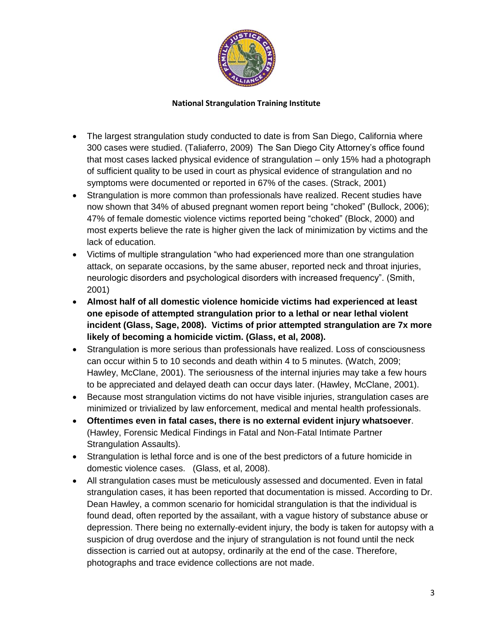

- The largest strangulation study conducted to date is from San Diego, California where 300 cases were studied. (Taliaferro, 2009) The San Diego City Attorney's office found that most cases lacked physical evidence of strangulation – only 15% had a photograph of sufficient quality to be used in court as physical evidence of strangulation and no symptoms were documented or reported in 67% of the cases. (Strack, 2001)
- Strangulation is more common than professionals have realized. Recent studies have now shown that 34% of abused pregnant women report being "choked" (Bullock, 2006); 47% of female domestic violence victims reported being "choked" (Block, 2000) and most experts believe the rate is higher given the lack of minimization by victims and the lack of education.
- Victims of multiple strangulation "who had experienced more than one strangulation attack, on separate occasions, by the same abuser, reported neck and throat injuries, neurologic disorders and psychological disorders with increased frequency". (Smith, 2001)
- **Almost half of all domestic violence homicide victims had experienced at least one episode of attempted strangulation prior to a lethal or near lethal violent incident (Glass, Sage, 2008). Victims of prior attempted strangulation are 7x more likely of becoming a homicide victim. (Glass, et al, 2008).**
- Strangulation is more serious than professionals have realized. Loss of consciousness can occur within 5 to 10 seconds and death within 4 to 5 minutes. (Watch, 2009; Hawley, McClane, 2001). The seriousness of the internal injuries may take a few hours to be appreciated and delayed death can occur days later. (Hawley, McClane, 2001).
- Because most strangulation victims do not have visible injuries, strangulation cases are minimized or trivialized by law enforcement, medical and mental health professionals.
- **Oftentimes even in fatal cases, there is no external evident injury whatsoever**. (Hawley, Forensic Medical Findings in Fatal and Non-Fatal Intimate Partner Strangulation Assaults).
- Strangulation is lethal force and is one of the best predictors of a future homicide in domestic violence cases. (Glass, et al, 2008).
- All strangulation cases must be meticulously assessed and documented. Even in fatal strangulation cases, it has been reported that documentation is missed. According to Dr. Dean Hawley, a common scenario for homicidal strangulation is that the individual is found dead, often reported by the assailant, with a vague history of substance abuse or depression. There being no externally-evident injury, the body is taken for autopsy with a suspicion of drug overdose and the injury of strangulation is not found until the neck dissection is carried out at autopsy, ordinarily at the end of the case. Therefore, photographs and trace evidence collections are not made.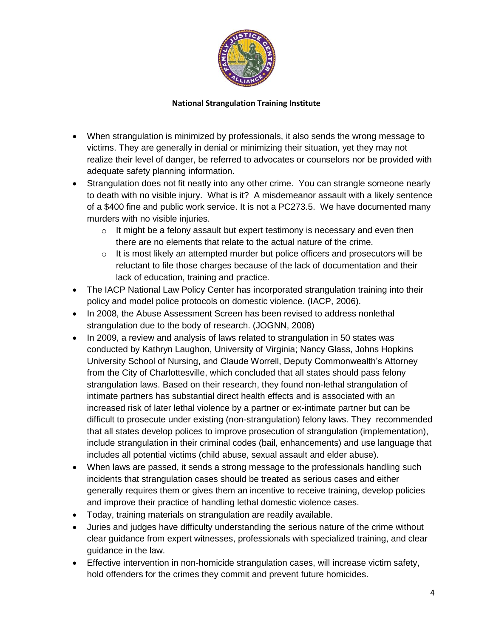

- When strangulation is minimized by professionals, it also sends the wrong message to victims. They are generally in denial or minimizing their situation, yet they may not realize their level of danger, be referred to advocates or counselors nor be provided with adequate safety planning information.
- Strangulation does not fit neatly into any other crime. You can strangle someone nearly to death with no visible injury. What is it? A misdemeanor assault with a likely sentence of a \$400 fine and public work service. It is not a PC273.5. We have documented many murders with no visible injuries.
	- $\circ$  It might be a felony assault but expert testimony is necessary and even then there are no elements that relate to the actual nature of the crime.
	- $\circ$  It is most likely an attempted murder but police officers and prosecutors will be reluctant to file those charges because of the lack of documentation and their lack of education, training and practice.
- The IACP National Law Policy Center has incorporated strangulation training into their policy and model police protocols on domestic violence. (IACP, 2006).
- In 2008, the Abuse Assessment Screen has been revised to address nonlethal strangulation due to the body of research. (JOGNN, 2008)
- In 2009, a review and analysis of laws related to strangulation in 50 states was conducted by Kathryn Laughon, University of Virginia; Nancy Glass, Johns Hopkins University School of Nursing, and Claude Worrell, Deputy Commonwealth's Attorney from the City of Charlottesville, which concluded that all states should pass felony strangulation laws. Based on their research, they found non-lethal strangulation of intimate partners has substantial direct health effects and is associated with an increased risk of later lethal violence by a partner or ex-intimate partner but can be difficult to prosecute under existing (non-strangulation) felony laws. They recommended that all states develop polices to improve prosecution of strangulation (implementation), include strangulation in their criminal codes (bail, enhancements) and use language that includes all potential victims (child abuse, sexual assault and elder abuse).
- When laws are passed, it sends a strong message to the professionals handling such incidents that strangulation cases should be treated as serious cases and either generally requires them or gives them an incentive to receive training, develop policies and improve their practice of handling lethal domestic violence cases.
- Today, training materials on strangulation are readily available.
- Juries and judges have difficulty understanding the serious nature of the crime without clear guidance from expert witnesses, professionals with specialized training, and clear guidance in the law.
- Effective intervention in non-homicide strangulation cases, will increase victim safety, hold offenders for the crimes they commit and prevent future homicides.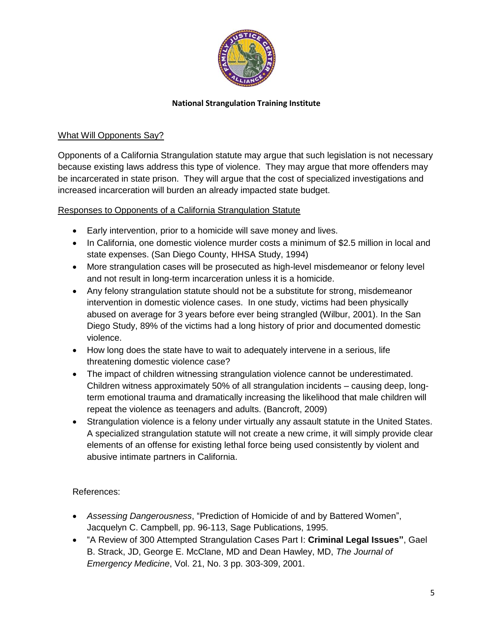

## What Will Opponents Say?

Opponents of a California Strangulation statute may argue that such legislation is not necessary because existing laws address this type of violence. They may argue that more offenders may be incarcerated in state prison. They will argue that the cost of specialized investigations and increased incarceration will burden an already impacted state budget.

### Responses to Opponents of a California Strangulation Statute

- Early intervention, prior to a homicide will save money and lives.
- In California, one domestic violence murder costs a minimum of \$2.5 million in local and state expenses. (San Diego County, HHSA Study, 1994)
- More strangulation cases will be prosecuted as high-level misdemeanor or felony level and not result in long-term incarceration unless it is a homicide.
- Any felony strangulation statute should not be a substitute for strong, misdemeanor intervention in domestic violence cases. In one study, victims had been physically abused on average for 3 years before ever being strangled (Wilbur, 2001). In the San Diego Study, 89% of the victims had a long history of prior and documented domestic violence.
- How long does the state have to wait to adequately intervene in a serious, life threatening domestic violence case?
- The impact of children witnessing strangulation violence cannot be underestimated. Children witness approximately 50% of all strangulation incidents – causing deep, longterm emotional trauma and dramatically increasing the likelihood that male children will repeat the violence as teenagers and adults. (Bancroft, 2009)
- Strangulation violence is a felony under virtually any assault statute in the United States. A specialized strangulation statute will not create a new crime, it will simply provide clear elements of an offense for existing lethal force being used consistently by violent and abusive intimate partners in California.

# References:

- *Assessing Dangerousness*, "Prediction of Homicide of and by Battered Women", Jacquelyn C. Campbell, pp. 96-113, Sage Publications, 1995.
- "A Review of 300 Attempted Strangulation Cases Part I: **Criminal Legal Issues"**, Gael B. Strack, JD, George E. McClane, MD and Dean Hawley, MD, *The Journal of Emergency Medicine*, Vol. 21, No. 3 pp. 303-309, 2001.